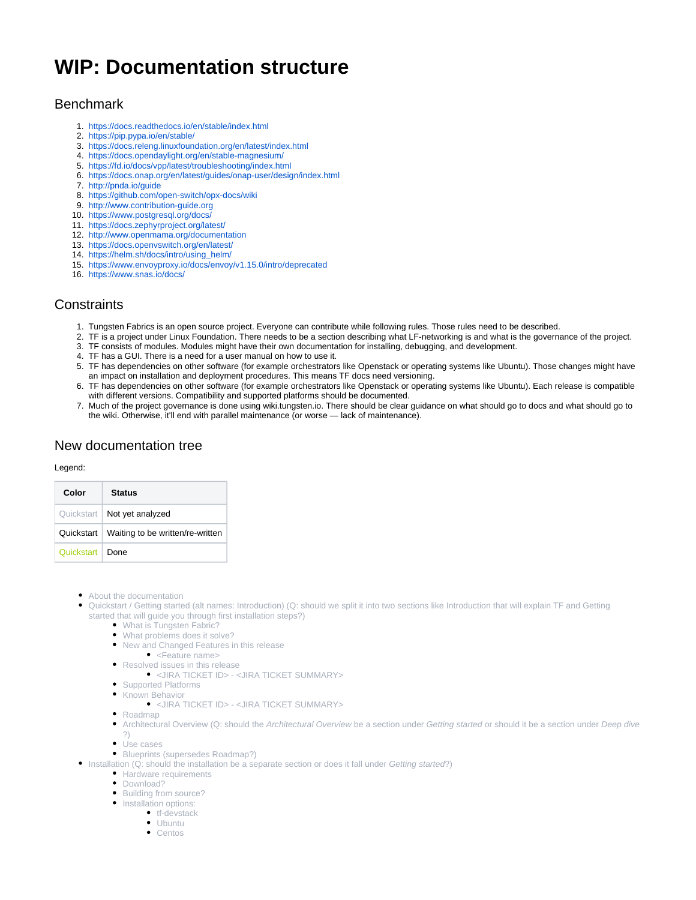# **WIP: Documentation structure**

# **Benchmark**

- 1. <https://docs.readthedocs.io/en/stable/index.html>
- 2. <https://pip.pypa.io/en/stable/>
- 3. <https://docs.releng.linuxfoundation.org/en/latest/index.html>
- 4. <https://docs.opendaylight.org/en/stable-magnesium/>
- 5. <https://fd.io/docs/vpp/latest/troubleshooting/index.html>
- 6. <https://docs.onap.org/en/latest/guides/onap-user/design/index.html>
- 7. <http://pnda.io/guide>
- 8. <https://github.com/open-switch/opx-docs/wiki>
- 9. <http://www.contribution-guide.org>
- 10. <https://www.postgresql.org/docs/>
- 11. <https://docs.zephyrproject.org/latest/>
- 12. <http://www.openmama.org/documentation>
- 13. <https://docs.openvswitch.org/en/latest/>
- 14. [https://helm.sh/docs/intro/using\\_helm/](https://helm.sh/docs/intro/using_helm/)
- 15. <https://www.envoyproxy.io/docs/envoy/v1.15.0/intro/deprecated>
- 16. <https://www.snas.io/docs/>

# **Constraints**

- 1. Tungsten Fabrics is an open source project. Everyone can contribute while following rules. Those rules need to be described.
- 2. TF is a project under Linux Foundation. There needs to be a section describing what LF-networking is and what is the governance of the project.
- 3. TF consists of modules. Modules might have their own documentation for installing, debugging, and development.
- 4. TF has a GUI. There is a need for a user manual on how to use it.
- 5. TF has dependencies on other software (for example orchestrators like Openstack or operating systems like Ubuntu). Those changes might have an impact on installation and deployment procedures. This means TF docs need versioning.
- 6. TF has dependencies on other software (for example orchestrators like Openstack or operating systems like Ubuntu). Each release is compatible with different versions. Compatibility and supported platforms should be documented.
- 7. Much of the project governance is done using wiki.tungsten.io. There should be clear guidance on what should go to docs and what should go to the wiki. Otherwise, it'll end with parallel maintenance (or worse — lack of maintenance).

# New documentation tree

### Legend:

| Color      | <b>Status</b>                    |
|------------|----------------------------------|
| Quickstart | Not yet analyzed                 |
| Quickstart | Waiting to be written/re-written |
| Quickstart | Done                             |

- About the documentation
- Quickstart / Getting started (alt names: Introduction) (Q: should we split it into two sections like Introduction that will explain TF and Getting started that will guide you through first installation steps?)
	- What is Tungsten Fabric?
	- What problems does it solve?
	- New and Changed Features in this release
	- <Feature name>
	- Resolved issues in this release
		- <JIRA TICKET ID> <JIRA TICKET SUMMARY>
	- Supported Platforms
	- **Known Behavior** 
		- <JIRA TICKET ID> <JIRA TICKET SUMMARY>
	- Roadmap
	- Architectural Overview (Q: should the Architectural Overview be a section under Getting started or should it be a section under Deep dive ?)
	- Use cases
	- Blueprints (supersedes Roadmap?)
- Installation (Q: should the installation be a separate section or does it fall under Getting started?)
	- **Hardware requirements**
	- Download?
	- Building from source?
	- Installation options:
		- tf-devstack
			- Ubuntu
			- Centos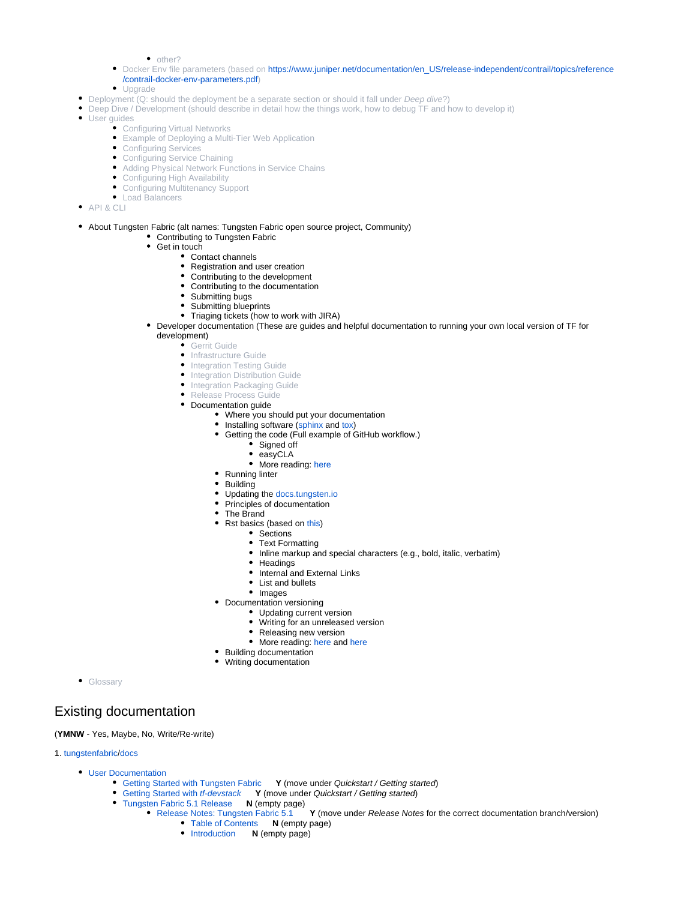$\bullet$  other?

- Docker Env file parameters (based on [https://www.juniper.net/documentation/en\\_US/release-independent/contrail/topics/reference](https://www.juniper.net/documentation/en_US/release-independent/contrail/topics/reference/contrail-docker-env-parameters.pdf) [/contrail-docker-env-parameters.pdf\)](https://www.juniper.net/documentation/en_US/release-independent/contrail/topics/reference/contrail-docker-env-parameters.pdf)
- Upgrade
- Deployment (Q: should the deployment be a separate section or should it fall under Deep dive?)
	- Deep Dive / Development (should describe in detail how the things work, how to debug TF and how to develop it)
- $\bullet$ User guides
	- Configuring Virtual Networks
	- Example of Deploying a Multi-Tier Web Application
	- Configuring Services
	- Configuring Service Chaining
	- Adding Physical Network Functions in Service Chains
	- Configuring High Availability
	- Configuring Multitenancy Support
- Load Balancers
- API & CLI
- About Tungsten Fabric (alt names: Tungsten Fabric open source project, Community)
	- Contributing to Tungsten Fabric
	- Get in touch
		- Contact channels
		- Registration and user creation Contributing to the development
		- Contributing to the documentation
		- Submitting bugs
		- Submitting blueprints
		- Triaging tickets (how to work with JIRA)
	- Developer documentation (These are guides and helpful documentation to running your own local version of TF for development)

Gerrit Guide

- **•** Infrastructure Guide
- Integration Testing Guide
- Integration Distribution Guide
- Integration Packaging Guide
- Release Process Guide
- Documentation guide
	- Where you should put your documentation
	- Installing software ([sphinx](https://www.sphinx-doc.org/en/master/usage/restructuredtext/basics.html) and [tox\)](https://tox.readthedocs.io/en/latest/install.html)
	- Getting the code (Full example of GitHub workflow.)
		- Signed off
		- easyCLA
			- More reading: [here](https://docs.github.com/en/github/getting-started-with-github/fork-a-repo)
	- Running linter
	- Building
	- Updating the [docs.tungsten.io](http://docs.tungsten.io)
	- Principles of documentation
	- The Brand
	- Rst basics (based on [this\)](https://thomas-cokelaer.info/tutorials/sphinx/rest_syntax.html#text-formatting)
		- Sections
			- Text Formatting
			- Inline markup and special characters (e.g., bold, italic, verbatim)
			- Headings
			- Internal and External Links
			- List and bullets
		- Images
	- Documentation versioning
		- Updating current version
		- Writing for an unreleased version
		- Releasing new version
		- More reading: [here](https://www.writethedocs.org/guide/) and here
	- Building documentation
	- Writing documentation

**•** Glossary

# Existing documentation

### (**YMNW** - Yes, Maybe, No, Write/Re-write)

1. [tungstenfabric/](https://github.com/tungstenfabric)[docs](https://github.com/tungstenfabric/docs)

- 
- [User Documentation](https://docs.tungsten.io/en/latest/user/index.html)<br>• Getting Started with Tungsten Fabric Y (move under Quickstart / Getting started)
	- [Getting Started with](https://docs.tungsten.io/en/latest/user/getting-started/index.html#getting-started-with-tf-devstack) tf-devstack **Y** (move under Quickstart / Getting started)
	- [Tungsten Fabric 5.1 Release](https://docs.tungsten.io/en/latest/user/releases/r5.1/index.html) **N** (empty page)
		- Y (move under Release Notes for the correct documentation branch/version)
			- [Table of Contents](https://docs.tungsten.io/en/latest/user/releases/r5.0/release-notes/contrail-release-notes-5.0-title.html) **N** (empty page)
			- [Introduction](https://docs.tungsten.io/en/latest/user/releases/r5.0/release-notes/intro.html) **N** (empty page)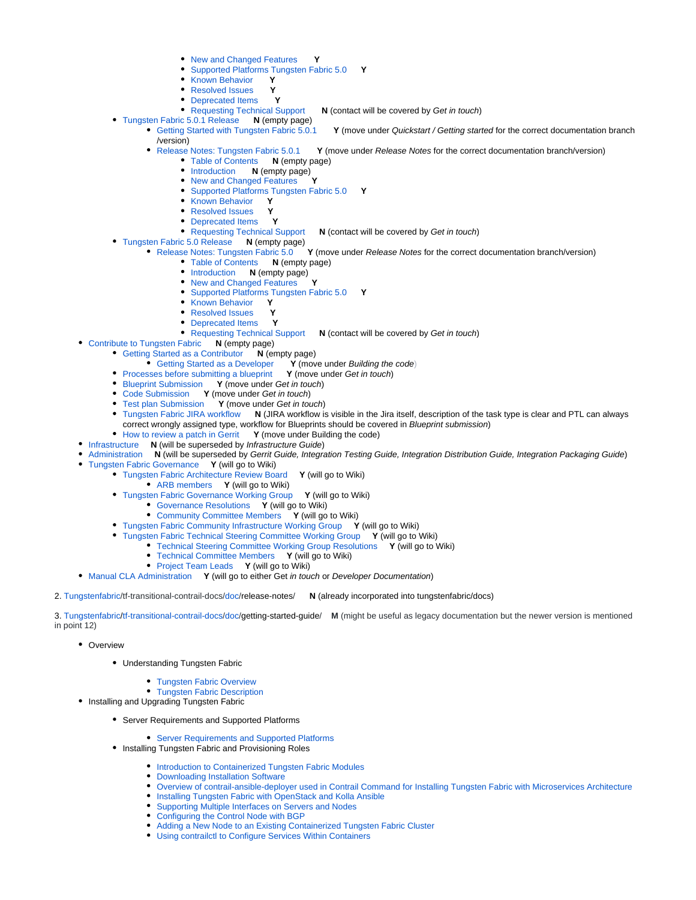- **New and Changed Features**
- [Supported Platforms Tungsten Fabric 5.0](https://docs.tungsten.io/en/latest/user/releases/r5.0/release-notes/supported-platforms-50-vnc.html) **Y**
- [Known Behavior](https://docs.tungsten.io/en/latest/user/releases/r5.0/release-notes/known-behavior.html) **Y**
- **P** [Resolved Issues](https://docs.tungsten.io/en/latest/user/releases/r5.0/release-notes/resolved-issues.html) **Y**<br>**P** Deprecated Items **Y**
- 
- [Deprecated Items](https://docs.tungsten.io/en/latest/user/releases/r5.0/release-notes/deprecated-items.html) **Y**<br>• Requesting Technical Support **N** (contact will be covered by Get in touch)
- [Tungsten Fabric 5.0.1 Release](https://docs.tungsten.io/en/latest/user/releases/r5.0.1/index.html) **N** (empty page)
	- [Getting Started with Tungsten Fabric 5.0.1](https://docs.tungsten.io/en/latest/user/releases/r5.0.1/getting-started/index.html) Y (move under Quickstart / Getting started for the correct documentation branch *(version)*<br>● Release Notes: Tungsten Fabric 5.0.1
		- Se Notes: Tungsten Fabric 5.0.1 **Y** (move under Release Notes for the correct documentation branch/version)<br>• Table of Contents **N** (empty page)
			- [Table of Contents](https://docs.tungsten.io/en/latest/user/releases/r5.0/release-notes/contrail-release-notes-5.0-title.html) **N** (empty page)<br>• Introduction **N** (empty page)
				- **N** (empty page)<br>anged Features
				- **[New and Changed Features](https://docs.tungsten.io/en/latest/user/releases/r5.0/release-notes/new-and-changed-features.html)**
				- [Supported Platforms Tungsten Fabric 5.0](https://docs.tungsten.io/en/latest/user/releases/r5.0/release-notes/supported-platforms-50-vnc.html) **Y**
				- [Known Behavior](https://docs.tungsten.io/en/latest/user/releases/r5.0/release-notes/known-behavior.html) **Y**
				- [Resolved Issues](https://docs.tungsten.io/en/latest/user/releases/r5.0/release-notes/resolved-issues.html) **Y**
			-
			- [Deprecated Items](https://docs.tungsten.io/en/latest/user/releases/r5.0/release-notes/deprecated-items.html) **Y N** (contact will be covered by Get in touch)
- [Tungsten Fabric 5.0 Release](https://docs.tungsten.io/en/latest/user/releases/r5.0/index.html) **N** (empty page)
	- Y (move under Release Notes for the correct documentation branch/version)
		- [Table of Contents](https://docs.tungsten.io/en/latest/user/releases/r5.0/release-notes/contrail-release-notes-5.0-title.html) **N** (empty page)
		- [Introduction](https://docs.tungsten.io/en/latest/user/releases/r5.0/release-notes/intro.html) **N** (empty page)
		- [New and Changed Features](https://docs.tungsten.io/en/latest/user/releases/r5.0/release-notes/new-and-changed-features.html)
		- [Supported Platforms Tungsten Fabric 5.0](https://docs.tungsten.io/en/latest/user/releases/r5.0/release-notes/supported-platforms-50-vnc.html) **Y**
		- [Known Behavior](https://docs.tungsten.io/en/latest/user/releases/r5.0/release-notes/known-behavior.html) **Y**
		- [Resolved Issues](https://docs.tungsten.io/en/latest/user/releases/r5.0/release-notes/resolved-issues.html) **Y**
		- [Deprecated Items](https://docs.tungsten.io/en/latest/user/releases/r5.0/release-notes/deprecated-items.html) **Y**
		- [Requesting Technical Support](https://docs.tungsten.io/en/latest/user/releases/r5.0/release-notes/request-support.html) **N** (contact will be covered by Get in touch)
- [Contribute to Tungsten Fabric](https://docs.tungsten.io/en/latest/contributor/index.html) **N** (empty page)
	- [Getting Started as a Contributor](https://docs.tungsten.io/en/latest/contributor/getting-started/index.html) **N** (empty page)
		- Y (move under Building the code)<br>Y (move under Get in touch)
		- **[Processes before submitting a blueprint](https://docs.tungsten.io/en/latest/contributor/getting-started/Processes_and_Guidelines_for_BluePrint_Code_and_Test_Submissions.html)**
		- [Blueprint Submission](https://docs.tungsten.io/en/latest/contributor/getting-started/Processes_and_Guidelines_for_BluePrint_Code_and_Test_Submissions.html#blueprint-submission) **Y** (move under Get in touch)
		- [Code Submission](https://docs.tungsten.io/en/latest/contributor/getting-started/Processes_and_Guidelines_for_BluePrint_Code_and_Test_Submissions.html#code-submission) **Y** (move under Get in touch)
		- [Test plan Submission](https://docs.tungsten.io/en/latest/contributor/getting-started/Processes_and_Guidelines_for_BluePrint_Code_and_Test_Submissions.html#test-plan-submission) **Y** (move under Get in touch)
		- [Tungsten Fabric JIRA workflow](https://docs.tungsten.io/en/latest/contributor/getting-started/Tungsten_Fabric_JIRA_Workflow.html) **N** (JIRA workflow is visible in the Jira itself, description of the task type is clear and PTL can always correct wrongly assigned type, workflow for Blueprints should be covered in Blueprint submission)
		- [How to review a patch in Gerrit](https://docs.tungsten.io/en/latest/gerrit_patchreview.html) Y (move under Building the code)
	- [Infrastructure](https://docs.tungsten.io/en/latest/infrastructure/index.html) **N** (will be superseded by Infrastructure Guide)
- [Administration](https://docs.tungsten.io/en/latest/administration/index.html) **N** (will be superseded by Gerrit Guide, Integration Testing Guide, Integration Distribution Guide, Integration Packaging Guide)
- [Tungsten Fabric Governance](https://docs.tungsten.io/en/latest/governance/index.html) **Y** (will go to Wiki)
	- [Tungsten Fabric Architecture Review Board](https://docs.tungsten.io/en/latest/governance/architecture-review-board/index.html) **Y** (will go to Wiki)
		- [ARB members](https://docs.tungsten.io/en/latest/governance/architecture-review-board/arb-members.html) **Y** (will go to Wiki)
	- [Tungsten Fabric Governance Working Group](https://docs.tungsten.io/en/latest/governance/community-committee/index.html) **Y** (will go to Wiki)
		- [Governance Resolutions](https://docs.tungsten.io/en/latest/governance/community-committee/resolutions/index.html) **Y** (will go to Wiki)
		- [Community Committee Members](https://docs.tungsten.io/en/latest/governance/community-committee/cc-members.html) **Y** (will go to Wiki)
	- [Tungsten Fabric Community Infrastructure Working Group](https://docs.tungsten.io/en/latest/governance/infrastructure-committee/index.html) **Y** (will go to Wiki)
	- [Tungsten Fabric Technical Steering Committee Working Group](https://docs.tungsten.io/en/latest/governance/technical-committee/index.html) **Y** (will go to Wiki)
		- [Technical Steering Committee Working Group Resolutions](https://docs.tungsten.io/en/latest/governance/technical-committee/resolutions/index.html) **Y** (will go to Wiki)
		- [Technical Committee Members](https://docs.tungsten.io/en/latest/governance/technical-committee/tc-members.html) **Y** (will go to Wiki)
		- [Project Team Leads](https://docs.tungsten.io/en/latest/governance/technical-committee/project-team-leads.html) **Y** (will go to Wiki)
- [Manual CLA Administration](https://docs.tungsten.io/en/latest/manual-cla-admin.html) **Y** (will go to either Get in touch or Developer Documentation)

### 2. [Tungstenfabric/](https://github.com/tungstenfabric)tf-transitional-contrail-docs[/doc](https://github.com/tungstenfabric/tf-transitional-contrail-docs/tree/master/doc)/release-notes/ **N** (already incorporated into tungstenfabric/docs)

3. [Tungstenfabric](https://github.com/tungstenfabric)[/tf-transitional-contrail-docs](https://github.com/tungstenfabric/tf-transitional-contrail-docs)[/doc](https://github.com/tungstenfabric/tf-transitional-contrail-docs/tree/master/doc)/getting-started-guide/ **M** (might be useful as legacy documentation but the newer version is mentioned in point 12)

- Overview
	- Understanding Tungsten Fabric
		- **[Tungsten Fabric Overview](file:///Users/szymon/Desktop/zabawy_z_git/tf-transitional-contrail-docs/doc/getting-started-guide/output/overview-virtual-network-controller.html)**
		- **[Tungsten Fabric Description](file:///Users/szymon/Desktop/zabawy_z_git/tf-transitional-contrail-docs/doc/getting-started-guide/output/components-vnc.html)**
- Installing and Upgrading Tungsten Fabric
	- Server Requirements and Supported Platforms
		- **[Server Requirements and Supported Platforms](file:///Users/szymon/Desktop/zabawy_z_git/tf-transitional-contrail-docs/doc/getting-started-guide/output/hardware-reqs-vnc.html)**
	- Installing Tungsten Fabric and Provisioning Roles
		- **[Introduction to Containerized Tungsten Fabric Modules](file:///Users/szymon/Desktop/zabawy_z_git/tf-transitional-contrail-docs/doc/getting-started-guide/output/containers-overview.html)**
		- [Downloading Installation Software](file:///Users/szymon/Desktop/zabawy_z_git/tf-transitional-contrail-docs/doc/getting-started-guide/output/download-software-vnc.html)
		- [Overview of contrail-ansible-deployer used in Contrail Command for Installing Tungsten Fabric with Microservices Architecture](file:///Users/szymon/Desktop/zabawy_z_git/tf-transitional-contrail-docs/doc/getting-started-guide/output/install-contrail-overview-ansible-50.html)
		- **[Installing Tungsten Fabric with OpenStack and Kolla Ansible](file:///Users/szymon/Desktop/zabawy_z_git/tf-transitional-contrail-docs/doc/getting-started-guide/output/install-contrail-ocata-kolla-50.html)**
		- [Supporting Multiple Interfaces on Servers and Nodes](file:///Users/szymon/Desktop/zabawy_z_git/tf-transitional-contrail-docs/doc/getting-started-guide/output/multi-interface-40.html)
		- [Configuring the Control Node with BGP](file:///Users/szymon/Desktop/zabawy_z_git/tf-transitional-contrail-docs/doc/getting-started-guide/output/admin-control-node.html)
		- [Adding a New Node to an Existing Containerized Tungsten Fabric Cluster](file:///Users/szymon/Desktop/zabawy_z_git/tf-transitional-contrail-docs/doc/getting-started-guide/output/add-node-existing-container.html)
		- [Using contrailctl to Configure Services Within Containers](file:///Users/szymon/Desktop/zabawy_z_git/tf-transitional-contrail-docs/doc/getting-started-guide/output/contrailctl.html)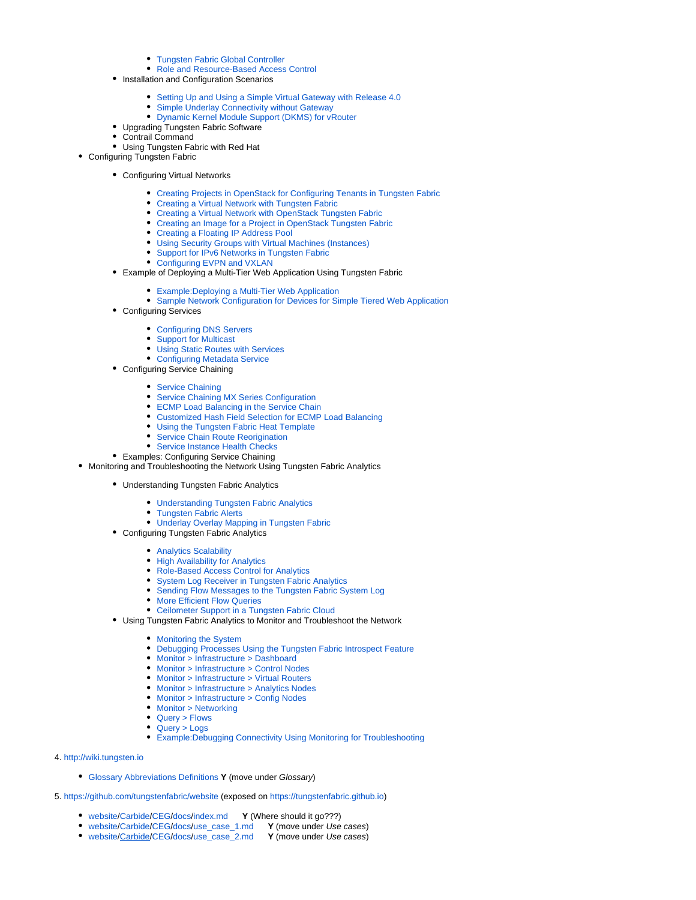- [Tungsten Fabric Global Controller](file:///Users/szymon/Desktop/zabawy_z_git/tf-transitional-contrail-docs/doc/getting-started-guide/output/global-controller-vnc.html)
- [Role and Resource-Based Access Control](file:///Users/szymon/Desktop/zabawy_z_git/tf-transitional-contrail-docs/doc/getting-started-guide/output/role-resource-access-control-vmc.html)
- Installation and Configuration Scenarios
	- [Setting Up and Using a Simple Virtual Gateway with Release 4.0](file:///Users/szymon/Desktop/zabawy_z_git/tf-transitional-contrail-docs/doc/getting-started-guide/output/simple-gateway-support-vnc-40.html)
	- [Simple Underlay Connectivity without Gateway](file:///Users/szymon/Desktop/zabawy_z_git/tf-transitional-contrail-docs/doc/getting-started-guide/output/underlay-no-gateway.html)
	- [Dynamic Kernel Module Support \(DKMS\) for vRouter](file:///Users/szymon/Desktop/zabawy_z_git/tf-transitional-contrail-docs/doc/getting-started-guide/output/dkms-support-vncxml.html)
- Upgrading Tungsten Fabric Software
- Contrail Command
- Using Tungsten Fabric with Red Hat
- Configuring Tungsten Fabric
	- Configuring Virtual Networks
		- [Creating Projects in OpenStack for Configuring Tenants in Tungsten Fabric](file:///Users/szymon/Desktop/zabawy_z_git/tf-transitional-contrail-docs/doc/getting-started-guide/output/creating-projects-vnc.html)
		- [Creating a Virtual Network with Tungsten Fabric](file:///Users/szymon/Desktop/zabawy_z_git/tf-transitional-contrail-docs/doc/getting-started-guide/output/creating-virtual-network-juniper-vnc.html)
		- [Creating a Virtual Network with OpenStack Tungsten Fabric](file:///Users/szymon/Desktop/zabawy_z_git/tf-transitional-contrail-docs/doc/getting-started-guide/output/creating-virtual-network-vnc.html)
		- [Creating an Image for a Project in OpenStack Tungsten Fabric](file:///Users/szymon/Desktop/zabawy_z_git/tf-transitional-contrail-docs/doc/getting-started-guide/output/creating-image-vnc.html)
		- [Creating a Floating IP Address Pool](file:///Users/szymon/Desktop/zabawy_z_git/tf-transitional-contrail-docs/doc/getting-started-guide/output/creating-ip-address-pool-vnc.html)
		- [Using Security Groups with Virtual Machines \(Instances\)](file:///Users/szymon/Desktop/zabawy_z_git/tf-transitional-contrail-docs/doc/getting-started-guide/output/creating-security-groups.html)
		- [Support for IPv6 Networks in Tungsten Fabric](file:///Users/szymon/Desktop/zabawy_z_git/tf-transitional-contrail-docs/doc/getting-started-guide/output/ipv6-networks-vnc.html)
		- [Configuring EVPN and VXLAN](file:///Users/szymon/Desktop/zabawy_z_git/tf-transitional-contrail-docs/doc/getting-started-guide/output/evpn-vxlan-configuring.html)
	- Example of Deploying a Multi-Tier Web Application Using Tungsten Fabric
		- [Example:Deploying a Multi-Tier Web Application](file:///Users/szymon/Desktop/zabawy_z_git/tf-transitional-contrail-docs/doc/getting-started-guide/output/web-use-case-vnc.html)
		- [Sample Network Configuration for Devices for Simple Tiered Web Application](file:///Users/szymon/Desktop/zabawy_z_git/tf-transitional-contrail-docs/doc/getting-started-guide/output/code-example-vnc.html)
	- Configuring Services
		- [Configuring DNS Servers](file:///Users/szymon/Desktop/zabawy_z_git/tf-transitional-contrail-docs/doc/getting-started-guide/output/configure-dns-vnc.html)
		- [Support for Multicast](file:///Users/szymon/Desktop/zabawy_z_git/tf-transitional-contrail-docs/doc/getting-started-guide/output/broadcast-vnc.html)
		- [Using Static Routes with Services](file:///Users/szymon/Desktop/zabawy_z_git/tf-transitional-contrail-docs/doc/getting-started-guide/output/static-routes-for-services-vnc.html)
		- [Configuring Metadata Service](file:///Users/szymon/Desktop/zabawy_z_git/tf-transitional-contrail-docs/doc/getting-started-guide/output/configure-metadata-service-vnc.html)
	- Configuring Service Chaining
		- [Service Chaining](file:///Users/szymon/Desktop/zabawy_z_git/tf-transitional-contrail-docs/doc/getting-started-guide/output/service-chaining-vnc.html)
		- [Service Chaining MX Series Configuration](file:///Users/szymon/Desktop/zabawy_z_git/tf-transitional-contrail-docs/doc/getting-started-guide/output/service-chaining-mx.html)
		- [ECMP Load Balancing in the Service Chain](file:///Users/szymon/Desktop/zabawy_z_git/tf-transitional-contrail-docs/doc/getting-started-guide/output/load-balancing-vnc.html)
		- [Customized Hash Field Selection for ECMP Load Balancing](file:///Users/szymon/Desktop/zabawy_z_git/tf-transitional-contrail-docs/doc/getting-started-guide/output/custom-field-hash-vnc.html)
		- [Using the Tungsten Fabric Heat Template](file:///Users/szymon/Desktop/zabawy_z_git/tf-transitional-contrail-docs/doc/getting-started-guide/output/heat-template-vnc.html)
		- [Service Chain Route Reorigination](file:///Users/szymon/Desktop/zabawy_z_git/tf-transitional-contrail-docs/doc/getting-started-guide/output/service-chain-route-reorig-vnc.html)
		- [Service Instance Health Checks](file:///Users/szymon/Desktop/zabawy_z_git/tf-transitional-contrail-docs/doc/getting-started-guide/output/service-instance-health-check.html)
	- Examples: Configuring Service Chaining
- Monitoring and Troubleshooting the Network Using Tungsten Fabric Analytics
	- Understanding Tungsten Fabric Analytics
		- [Understanding Tungsten Fabric Analytics](file:///Users/szymon/Desktop/zabawy_z_git/tf-transitional-contrail-docs/doc/getting-started-guide/output/analytics-overview-vnc.html)
		- [Tungsten Fabric Alerts](file:///Users/szymon/Desktop/zabawy_z_git/tf-transitional-contrail-docs/doc/getting-started-guide/output/alerts-overview.html)
		- [Underlay Overlay Mapping in Tungsten Fabric](file:///Users/szymon/Desktop/zabawy_z_git/tf-transitional-contrail-docs/doc/getting-started-guide/output/underlay-overlay-mapping-vnc.html)
		- Configuring Tungsten Fabric Analytics
			- [Analytics Scalability](file:///Users/szymon/Desktop/zabawy_z_git/tf-transitional-contrail-docs/doc/getting-started-guide/output/analytics-scalability-vnc.html)
			- [High Availability for Analytics](file:///Users/szymon/Desktop/zabawy_z_git/tf-transitional-contrail-docs/doc/getting-started-guide/output/ha-analytics-vnc.html)
			- [Role-Based Access Control for Analytics](file:///Users/szymon/Desktop/zabawy_z_git/tf-transitional-contrail-docs/doc/getting-started-guide/output/rbac-analytics.html)
			- **[System Log Receiver in Tungsten Fabric Analytics](file:///Users/szymon/Desktop/zabawy_z_git/tf-transitional-contrail-docs/doc/getting-started-guide/output/syslog-receiver-vnc.html)**
			- [Sending Flow Messages to the Tungsten Fabric System Log](file:///Users/szymon/Desktop/zabawy_z_git/tf-transitional-contrail-docs/doc/getting-started-guide/output/send-flow-msg-syslog.html)
			- [More Efficient Flow Queries](file:///Users/szymon/Desktop/zabawy_z_git/tf-transitional-contrail-docs/doc/getting-started-guide/output/efficient-flow-queries.html)
			- [Ceilometer Support in a Tungsten Fabric Cloud](file:///Users/szymon/Desktop/zabawy_z_git/tf-transitional-contrail-docs/doc/getting-started-guide/output/ceilometer-configuring.html)
		- Using Tungsten Fabric Analytics to Monitor and Troubleshoot the Network
			- [Monitoring the System](file:///Users/szymon/Desktop/zabawy_z_git/tf-transitional-contrail-docs/doc/getting-started-guide/output/monitor-vnc.html)
			- [Debugging Processes Using the Tungsten Fabric Introspect Feature](file:///Users/szymon/Desktop/zabawy_z_git/tf-transitional-contrail-docs/doc/getting-started-guide/output/introspect-process-debugging.html)
			- [Monitor > Infrastructure > Dashboard](file:///Users/szymon/Desktop/zabawy_z_git/tf-transitional-contrail-docs/doc/getting-started-guide/output/monitor-dashboard-vnc.html)
			- [Monitor > Infrastructure > Control Nodes](file:///Users/szymon/Desktop/zabawy_z_git/tf-transitional-contrail-docs/doc/getting-started-guide/output/monitoring-infrastructure-vnc.html)
			- [Monitor > Infrastructure > Virtual Routers](file:///Users/szymon/Desktop/zabawy_z_git/tf-transitional-contrail-docs/doc/getting-started-guide/output/monitoring-vrouters-vnc.html)
			- [Monitor > Infrastructure > Analytics Nodes](file:///Users/szymon/Desktop/zabawy_z_git/tf-transitional-contrail-docs/doc/getting-started-guide/output/monitor-analytics-vnc.html)
			- [Monitor > Infrastructure > Config Nodes](file:///Users/szymon/Desktop/zabawy_z_git/tf-transitional-contrail-docs/doc/getting-started-guide/output/monitor-config-vnc.html)
			- [Monitor > Networking](file:///Users/szymon/Desktop/zabawy_z_git/tf-transitional-contrail-docs/doc/getting-started-guide/output/monitoring-networking-vnc.html)
			- [Query > Flows](file:///Users/szymon/Desktop/zabawy_z_git/tf-transitional-contrail-docs/doc/getting-started-guide/output/monitoring-flow-vnc.html)
			- [Query > Logs](file:///Users/szymon/Desktop/zabawy_z_git/tf-transitional-contrail-docs/doc/getting-started-guide/output/monitoring-syslog-vnc.html)
			- [Example:Debugging Connectivity Using Monitoring for Troubleshooting](file:///Users/szymon/Desktop/zabawy_z_git/tf-transitional-contrail-docs/doc/getting-started-guide/output/debug-connectivity-vnc.html)
- 4. [http://wiki.tungsten.io](http://wiki.tungsten.io/)
	- [Glossary Abbreviations Definitions](https://wiki.tungsten.io/display/TUN/Glossary+Abbreviations+Definitions) **Y** (move under Glossary)
- 5.<https://github.com/tungstenfabric/website> (exposed on [https://tungstenfabric.github.io\)](https://tungstenfabric.github.io/)
	-
	- [website](https://github.com/tungstenfabric/website)/[Carbide/](https://github.com/tungstenfabric/website/tree/master/Carbide)[CEG](https://github.com/tungstenfabric/website/tree/master/Carbide/CEG)[/docs](https://github.com/tungstenfabric/website/tree/master/Carbide/CEG/docs)[/index.md](http://index.md) Y (Where should it go???)<br>● website/Carbide/CEG/docs/use\_case\_1.md Y (move under Use cases) **[website](https://github.com/tungstenfabric/website)/[Carbide/](https://github.com/tungstenfabric/website/tree/master/Carbide)[CEG](https://github.com/tungstenfabric/website/tree/master/Carbide/CEG)[/docs](https://github.com/tungstenfabric/website/tree/master/Carbide/CEG/docs)[/use\\_case\\_1.md](http://use_case_1.md)**
	- [website](https://github.com/tungstenfabric/website)/[Carbide/](https://github.com/tungstenfabric/website/tree/master/Carbide)[CEG](https://github.com/tungstenfabric/website/tree/master/Carbide/CEG)[/docs](https://github.com/tungstenfabric/website/tree/master/Carbide/CEG/docs)[/use\\_case\\_2.md](http://use_case_2.md) **Y** (move under Use cases)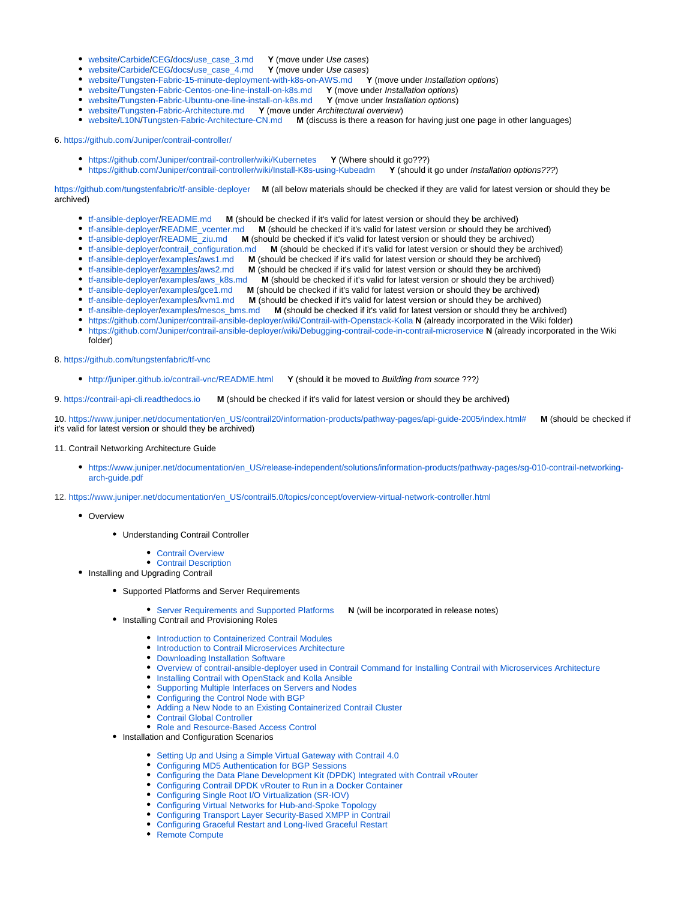- [website](https://github.com/tungstenfabric/website)/[Carbide/](https://github.com/tungstenfabric/website/tree/master/Carbide)[CEG](https://github.com/tungstenfabric/website/tree/master/Carbide/CEG)[/docs](https://github.com/tungstenfabric/website/tree/master/Carbide/CEG/docs)[/use\\_case\\_3.md](http://use_case_3.md) **Y** (move under Use cases)
- 
- [website](https://github.com/tungstenfabric/website)/[Carbide/](https://github.com/tungstenfabric/website/tree/master/Carbide)[CEG](https://github.com/tungstenfabric/website/tree/master/Carbide/CEG)[/docs](https://github.com/tungstenfabric/website/tree/master/Carbide/CEG/docs)[/use\\_case\\_4.md](http://use_case_4.md) **Y** (move under Use cases) **•** [website](https://github.com/tungstenfabric/website)/[Tungsten-Fabric-15-minute-deployment-with-k8s-on-AWS.md](http://Tungsten-Fabric-15-minute-deployment-with-k8s-on-AWS.md)
- [website](https://github.com/tungstenfabric/website)/[Tungsten-Fabric-Centos-one-line-install-on-k8s.md](http://Tungsten-Fabric-Centos-one-line-install-on-k8s.md) **Y** (move under Installation options)
- [website](https://github.com/tungstenfabric/website)/[Tungsten-Fabric-Ubuntu-one-line-install-on-k8s.md](http://Tungsten-Fabric-Ubuntu-one-line-install-on-k8s.md) **Y** (move under Installation options)
- [website](https://github.com/tungstenfabric/website)/[Tungsten-Fabric-Architecture.md](http://Tungsten-Fabric-Architecture.md) **Y** (move under Architectural overview)
- [website](https://github.com/tungstenfabric/website)/[L10N](https://github.com/tungstenfabric/website/tree/master/L10N)/[Tungsten-Fabric-Architecture-CN.md](http://Tungsten-Fabric-Architecture-CN.md) **M** (discuss is there a reason for having just one page in other languages)

6. [https://github.com/Juniper/contrail-controller/](https://github.com/Juniper/contrail-controller/wiki/Kubernetes)

<https://github.com/Juniper/contrail-controller/wiki/Kubernetes> **Y** (Where should it go???)

<https://github.com/Juniper/contrail-controller/wiki/Install-K8s-using-Kubeadm> **Y** (should it go under Installation options???)

[https://github.com/tungstenfabric/](https://github.com/tungstenfabric/website)[tf-ansible-deployer](https://github.com/tungstenfabric/tf-ansible-deployer) **M** (all below materials should be checked if they are valid for latest version or should they be archived)

- 
- [tf-ansible-deployer/](https://github.com/tungstenfabric/tf-ansible-deployer)[README.md](http://README.md) **M** (should be checked if it's valid for latest version or should they be archived) **M** (should be checked if it's valid for latest version or should they be archived)
- [tf-ansible-deployer/](https://github.com/tungstenfabric/tf-ansible-deployer)[README\\_ziu.md](http://README_ziu.md) **M** (should be checked if it's valid for latest version or should they be archived)
- [tf-ansible-deployer/](https://github.com/tungstenfabric/tf-ansible-deployer)[contrail\\_configuration.md](http://contrail_configuration.md) **M** (should be checked if it's valid for latest version or should they be archived)
	-
- [tf-ansible-deployer/](https://github.com/tungstenfabric/tf-ansible-deployer)[examples/](https://github.com/tungstenfabric/tf-ansible-deployer/tree/master/examples)[aws1.md](http://aws1.md) **M** (should be checked if it's valid for latest version or should they be archived) [tf-ansible-deployer/](https://github.com/tungstenfabric/tf-ansible-deployer)[examples/](https://github.com/tungstenfabric/tf-ansible-deployer/tree/master/examples)[aws2.md](http://aws2.md) **M** (should be checked if it's valid for latest version or should they be archived)
- In (should be checked if it's valid for latest version or should they be archived)
- [tf-ansible-deployer/](https://github.com/tungstenfabric/tf-ansible-deployer)[examples/](https://github.com/tungstenfabric/tf-ansible-deployer/tree/master/examples)[gce1.md](http://gce1.md) **M** (should be checked if it's valid for latest version or should they be archived)
- [tf-ansible-deployer/](https://github.com/tungstenfabric/tf-ansible-deployer)[examples/](https://github.com/tungstenfabric/tf-ansible-deployer/tree/master/examples)[kvm1.md](http://kvm1.md) **M** (should be checked if it's valid for latest version or should they be archived)
- [tf-ansible-deployer/](https://github.com/tungstenfabric/tf-ansible-deployer)[examples/](https://github.com/tungstenfabric/tf-ansible-deployer/tree/master/examples)[mesos\\_bms.md](http://mesos_bms.md) **M** (should be checked if it's valid for latest version or should they be archived)
- <https://github.com/Juniper/contrail-ansible-deployer/wiki/Contrail-with-Openstack-Kolla> **N** (already incorporated in the Wiki folder)
- [https://github.com/Juniper/contrail-ansible-deployer/wiki/Debugging-contrail-code-in-contrail-microservice](https://github.com/Juniper/contrail-ansible-deployer/wiki/Debugging-contrail-code-in-contrail-microservices) **N** (already incorporated in the Wiki folder)

8.<https://github.com/tungstenfabric/tf-vnc>

<http://juniper.github.io/contrail-vnc/README.html>**Y** (should it be moved to Building from source ???)

9.<https://contrail-api-cli.readthedocs.io> **M** (should be checked if it's valid for latest version or should they be archived)

10. [https://www.juniper.net/documentation/en\\_US/contrail20/information-products/pathway-pages/api-guide-2005/index.html#](https://www.juniper.net/documentation/en_US/contrail20/information-products/pathway-pages/api-guide-2005/index.html) **M** (should be checked if it's valid for latest version or should they be archived)

#### 11. Contrail Networking Architecture Guide

- [https://www.juniper.net/documentation/en\\_US/release-independent/solutions/information-products/pathway-pages/sg-010-contrail-networking](https://www.juniper.net/documentation/en_US/release-independent/solutions/information-products/pathway-pages/sg-010-contrail-networking-arch-guide.pdf)[arch-guide.pdf](https://www.juniper.net/documentation/en_US/release-independent/solutions/information-products/pathway-pages/sg-010-contrail-networking-arch-guide.pdf)
- 12. [https://www.juniper.net/documentation/en\\_US/contrail5.0/topics/concept/overview-virtual-network-controller.html](https://www.juniper.net/documentation/en_US/contrail5.0/topics/concept/overview-virtual-network-controller.html)
	- Overview
		- Understanding Contrail Controller
			- [Contrail Overview](https://www.juniper.net/documentation/en_US/contrail5.0/topics/concept/overview-virtual-network-controller.html)
		- [Contrail Description](https://www.juniper.net/documentation/en_US/contrail5.0/topics/concept/components-vnc.html)
	- Installing and Upgrading Contrail
		- Supported Platforms and Server Requirements
			- **[Server Requirements and Supported Platforms](https://www.juniper.net/documentation/en_US/contrail5.0/topics/task/installation/hardware-reqs-vnc.html)  N (will be incorporated in release notes)**
		- Installing Contrail and Provisioning Roles
			- [Introduction to Containerized Contrail Modules](https://www.juniper.net/documentation/en_US/contrail5.0/topics/concept/containers-overview.html)
			- [Introduction to Contrail Microservices Architecture](https://www.juniper.net/documentation/en_US/contrail5.0/topics/concept/intro-microservices.html)
			- [Downloading Installation Software](https://www.juniper.net/documentation/en_US/contrail5.0/topics/task/installation/download-software-vnc.html)
			- [Overview of contrail-ansible-deployer used in Contrail Command for Installing Contrail with Microservices Architecture](https://www.juniper.net/documentation/en_US/contrail5.0/topics/concept/install-contrail-overview-ansible-50.html)
			- **[Installing Contrail with OpenStack and Kolla Ansible](https://www.juniper.net/documentation/en_US/contrail5.0/topics/concept/install-contrail-ocata-kolla-50.html)**
			- [Supporting Multiple Interfaces on Servers and Nodes](https://www.juniper.net/documentation/en_US/contrail5.0/topics/concept/multi-interface-40.html)
			- [Configuring the Control Node with BGP](https://www.juniper.net/documentation/en_US/contrail5.0/topics/task/installation/admin-control-node.html)
			- [Adding a New Node to an Existing Containerized Contrail Cluster](https://www.juniper.net/documentation/en_US/contrail5.0/topics/concept/add-node-existing-container.html)
			- [Contrail Global Controller](https://www.juniper.net/documentation/en_US/contrail5.0/topics/concept/global-controller-vnc.html)
			- [Role and Resource-Based Access Control](https://www.juniper.net/documentation/en_US/contrail5.0/topics/concept/role-resource-access-control-vmc.html)
		- Installation and Configuration Scenarios
			- [Setting Up and Using a Simple Virtual Gateway with Contrail 4.0](https://www.juniper.net/documentation/en_US/contrail5.0/topics/task/configuration/simple-gateway-support-vnc-40.html)
			- [Configuring MD5 Authentication for BGP Sessions](https://www.juniper.net/documentation/en_US/contrail5.0/topics/task/installation/md5-authentication-configuring.html)
			- [Configuring the Data Plane Development Kit \(DPDK\) Integrated with Contrail vRouter](https://www.juniper.net/documentation/en_US/contrail5.0/topics/concept/dpdk-with-vrouter-vnc-40.html)
			- [Configuring Contrail DPDK vRouter to Run in a Docker Container](https://www.juniper.net/documentation/en_US/contrail5.0/topics/task/configuration/containerzing-contrail-dpdk-vrouter.html)
			- [Configuring Single Root I/O Virtualization \(SR-IOV\)](https://www.juniper.net/documentation/en_US/contrail5.0/topics/concept/sriov-with-vrouter-vnc.html)
			- [Configuring Virtual Networks for Hub-and-Spoke Topology](https://www.juniper.net/documentation/en_US/contrail5.0/topics/task/configuration/hub-spoke-vnc.html)
			- [Configuring Transport Layer Security-Based XMPP in Contrail](https://www.juniper.net/documentation/en_US/contrail5.0/topics/task/configuration/config-TLS-vncDocument1.html)
			- [Configuring Graceful Restart and Long-lived Graceful Restart](https://www.juniper.net/documentation/en_US/contrail5.0/topics/concept/graceful-restart-bgp-persist-vnc.html)
			- [Remote Compute](https://www.juniper.net/documentation/en_US/contrail5.0/topics/concept/remote-compute-50.html)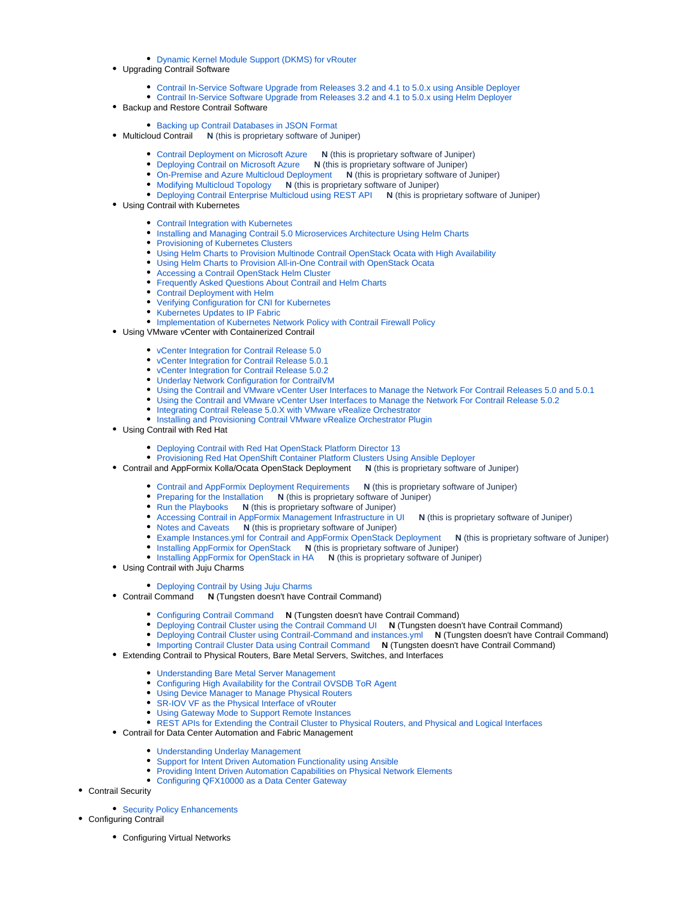### [Dynamic Kernel Module Support \(DKMS\) for vRouter](https://www.juniper.net/documentation/en_US/contrail5.0/topics/concept/dkms-support-vncxml.html)

- Upgrading Contrail Software
	- [Contrail In-Service Software Upgrade from Releases 3.2 and 4.1 to 5.0.x using Ansible Deployer](https://www.juniper.net/documentation/en_US/contrail5.0/topics/concept/ISSU-ansible-deployer.html)
	- [Contrail In-Service Software Upgrade from Releases 3.2 and 4.1 to 5.0.x using Helm Deployer](https://www.juniper.net/documentation/en_US/contrail5.0/topics/concept/ISSU-helm-deployer.html)
- Backup and Restore Contrail Software
	- [Backing up Contrail Databases in JSON Format](https://www.juniper.net/documentation/en_US/contrail5.0/topics/concept/backup-using-json-50.html)
- Multicloud Contrail **N** (this is proprietary software of Juniper)
	- [Contrail Deployment on Microsoft Azure](https://www.juniper.net/documentation/en_US/contrail5.0/topics/concept/contrail-multicloud-gateway-overview.html) **N** (this is proprietary software of Juniper)
	- [Deploying Contrail on Microsoft Azure](https://www.juniper.net/documentation/en_US/contrail5.0/topics/task/configuration/deploying-contrail-on-azure.html) **N** (this is proprietary software of Juniper)
	- [On-Premise and Azure Multicloud Deployment](https://www.juniper.net/documentation/en_US/contrail5.0/topics/task/configuration/deploy-contrail-on-prem-extend-azure.html) **N** (this is proprietary software of Juniper)
	- Modifying Multicloud Topology **N** [\(this is proprietary software of Juniper\)](https://www.juniper.net/documentation/en_US/contrail5.0/topics/task/configuration/modifying-multicloud-topology.html)
	- [Deploying Contrail Enterprise Multicloud using REST API](https://www.juniper.net/documentation/en_US/contrail5.0/topics/task/configuration/multicloud-deployment-using-API.html) **N** (this is proprietary software of Juniper)
- Using Contrail with Kubernetes
	- [Contrail Integration with Kubernetes](https://www.juniper.net/documentation/en_US/contrail5.0/topics/concept/kubernetes-cni-contrail.html)
	- [Installing and Managing Contrail 5.0 Microservices Architecture Using Helm Charts](https://www.juniper.net/documentation/en_US/contrail5.0/topics/concept/install-microsvcs-helm-chart-50.html)
	- [Provisioning of Kubernetes Clusters](https://www.juniper.net/documentation/en_US/contrail5.0/topics/task/installation/provisioning-k8s-cluster.html)
	- [Using Helm Charts to Provision Multinode Contrail OpenStack Ocata with High Availability](https://www.juniper.net/documentation/en_US/contrail5.0/topics/concept/install-microsvcs-helm-multi-50.html)
	- [Using Helm Charts to Provision All-in-One Contrail with OpenStack Ocata](https://www.juniper.net/documentation/en_US/contrail5.0/topics/concept/install-microsvcs-helm-aio-50.html)
	- [Accessing a Contrail OpenStack Helm Cluster](https://www.juniper.net/documentation/en_US/contrail5.0/topics/concept/access_os_helm_cluster.html)
	- [Frequently Asked Questions About Contrail and Helm Charts](https://www.juniper.net/documentation/en_US/contrail5.0/topics/concept/install-microsvcs-helm-multi-faq-51.html)
	- **[Contrail Deployment with Helm](https://www.juniper.net/documentation/en_US/contrail5.0/topics/concept/contrail-deployment-with-helm.html)**
	- [Verifying Configuration for CNI for Kubernetes](https://www.juniper.net/documentation/en_US/contrail5.0/topics/task/verification/verifying-cni-k8s.html)
	- [Kubernetes Updates to IP Fabric](https://www.juniper.net/documentation/en_US/contrail5.0/topics/concept/k8s-ip-fabric.html)
	- [Implementation of Kubernetes Network Policy with Contrail Firewall Policy](https://www.juniper.net/documentation/en_US/contrail5.0/topics/concept/k8s-network-policy.html)
	- Using VMware vCenter with Containerized Contrail
		- [vCenter Integration for Contrail Release 5.0](https://www.juniper.net/documentation/en_US/contrail5.0/topics/concept/vcenter-contrail-50.html)
		- [vCenter Integration for Contrail Release 5.0.1](https://www.juniper.net/documentation/en_US/contrail5.0/topics/task/configuration/vcenter-contrail-501.html)
		- [vCenter Integration for Contrail Release 5.0.2](https://www.juniper.net/documentation/en_US/contrail5.0/topics/task/configuration/vcenter-contrail-502.html)
		- [Underlay Network Configuration for ContrailVM](https://www.juniper.net/documentation/en_US/contrail5.0/topics/task/installation/vcenter-as-orchestrator-deployment-scenarios-501.html)
		- [Using the Contrail and VMware vCenter User Interfaces to Manage the Network For Contrail Releases 5.0 and 5.0.1](https://www.juniper.net/documentation/en_US/contrail5.0/topics/task/configuration/vcenter-interfaces-configuration-vnc.html)
		- [Using the Contrail and VMware vCenter User Interfaces to Manage the Network For Contrail Release 5.0.2](https://www.juniper.net/documentation/en_US/contrail5.0/topics/task/configuration/vcenter-interfaces-configuration-vnc-502.html)
		- [Integrating Contrail Release 5.0.X with VMware vRealize Orchestrator](https://www.juniper.net/documentation/en_US/contrail5.0/topics/concept/integrating-contrail501-with-vRO.html)
		- **[Installing and Provisioning Contrail VMware vRealize Orchestrator Plugin](https://www.juniper.net/documentation/en_US/contrail5.0/topics/task/installation/install-contrail-vRO-plugin.html)**
- Using Contrail with Red Hat
	- [Deploying Contrail with Red Hat OpenStack Platform Director 13](https://www.juniper.net/documentation/en_US/contrail5.0/topics/concept/Deploying-Contrail-with-RedHatOpenStack.html)
	- [Provisioning Red Hat OpenShift Container Platform Clusters Using Ansible Deployer](https://www.juniper.net/documentation/en_US/contrail5.0/topics/task/configuration/provision-redhat-openshift-using-anible.html)
- Contrail and AppFormix Kolla/Ocata OpenStack Deployment **N** (this is proprietary software of Juniper)
	- [Contrail and AppFormix Deployment Requirements](https://www.juniper.net/documentation/en_US/contrail5.0/topics/concept/install-contrail-afx-kolla-ocata-requirements.html) **N** (this is proprietary software of Juniper)
	- Preparing for the Installation **N** [\(this is proprietary software of Juniper\)](https://www.juniper.net/documentation/en_US/contrail5.0/topics/concept/install-contrail-afx-prepare.html)
	- Run the Playbooks **N** [\(this is proprietary software of Juniper\)](https://www.juniper.net/documentation/en_US/contrail5.0/topics/concept/install-contrail-afx-run-playbooks.html)
	- [Accessing Contrail in AppFormix Management Infrastructure in UI](https://www.juniper.net/documentation/en_US/contrail5.0/topics/concept/install-contrail-afx-access-contrail-ui.html) **N** (this is proprietary software of Juniper)
	- Notes and Caveats **N** [\(this is proprietary software of Juniper\)](https://www.juniper.net/documentation/en_US/contrail5.0/topics/concept/install-contrail-afx-notes-caveats.html)
	- [Example Instances.yml for Contrail and AppFormix OpenStack Deployment](https://www.juniper.net/documentation/en_US/contrail5.0/topics/concept/install-contrail-afx-example-instances-yaml.html) **N** (this is proprietary software of Juniper)
	- Installing AppFormix for OpenStack **N** [\(this is proprietary software of Juniper\)](https://www.juniper.net/documentation/en_US/contrail5.0/topics/concept/install-afx-openstack.html)
	- **[Installing AppFormix for OpenStack in HA](https://www.juniper.net/documentation/en_US/contrail5.0/topics/concept/install-afx-openstack-ha.html) <b>N** (this is proprietary software of Juniper)
- Using Contrail with Juju Charms

### [Deploying Contrail by Using Juju Charms](https://www.juniper.net/documentation/en_US/contrail5.0/topics/topic-map/deploying-contrail-using-juju-charms.html)

- Contrail Command **N** (Tungsten doesn't have Contrail Command)
	- [Configuring Contrail Command](https://www.juniper.net/documentation/en_US/contrail5.0/topics/example/install-contrail-command.html) **N** (Tungsten doesn't have Contrail Command)
		- [Deploying Contrail Cluster using the Contrail Command UI](https://www.juniper.net/documentation/en_US/contrail5.0/topics/example/contrail-command-cluster.html) **N** (Tungsten doesn't have Contrail Command)
	- [Deploying Contrail Cluster using Contrail-Command and instances.yml](https://www.juniper.net/documentation/en_US/contrail5.0/topics/task/configuration/deploy-cluster-contrail-command-instances-yml.html) **N** (Tungsten doesn't have Contrail Command)
	- [Importing Contrail Cluster Data using Contrail Command](https://www.juniper.net/documentation/en_US/contrail5.0/topics/task/configuration/import-cluster-data-contrail-command.html) **N** (Tungsten doesn't have Contrail Command)
- Extending Contrail to Physical Routers, Bare Metal Servers, Switches, and Interfaces
	- [Understanding Bare Metal Server Management](https://www.juniper.net/documentation/en_US/contrail5.0/topics/topic-map/bare-metal-server-manager-overview.html)
	- [Configuring High Availability for the Contrail OVSDB ToR Agent](https://www.juniper.net/documentation/en_US/contrail5.0/topics/concept/ha-tor-agnt.html)
	- [Using Device Manager to Manage Physical Routers](https://www.juniper.net/documentation/en_US/contrail5.0/topics/concept/using-device-manager-netconf-contrail.html)
	- [SR-IOV VF as the Physical Interface of vRouter](https://www.juniper.net/documentation/en_US/contrail5.0/topics/concept/sriov-phys-intf.html)
	- [Using Gateway Mode to Support Remote Instances](https://www.juniper.net/documentation/en_US/contrail5.0/topics/concept/gateway-mode-remote-instances-vnc.html)
	- [REST APIs for Extending the Contrail Cluster to Physical Routers, and Physical and Logical Interfaces](https://www.juniper.net/documentation/en_US/contrail5.0/topics/concept/rest-apis-routers-contrail.html)
- Contrail for Data Center Automation and Fabric Management
	- [Understanding Underlay Management](https://www.juniper.net/documentation/en_US/contrail5.0/topics/concept/understanding-underlay-management.html)
	- [Support for Intent Driven Automation Functionality using Ansible](https://www.juniper.net/documentation/en_US/contrail5.0/topics/concept/ems-functionality-using-ansible.html)
	- **[Providing Intent Driven Automation Capabilities on Physical Network Elements](https://www.juniper.net/documentation/en_US/contrail5.0/topics/task/configuration/ems-capabilities-on-physical-network-elements.html)**
	- [Configuring QFX10000 as a Data Center Gateway](https://www.juniper.net/documentation/en_US/contrail5.0/topics/task/configuration/qfx10000-as-datacenter-gateway.html)
- Contrail Security
	- [Security Policy Enhancements](https://www.juniper.net/documentation/en_US/contrail5.0/topics/concept/security-policy-enhancements.html)
- Configuring Contrail
	- Configuring Virtual Networks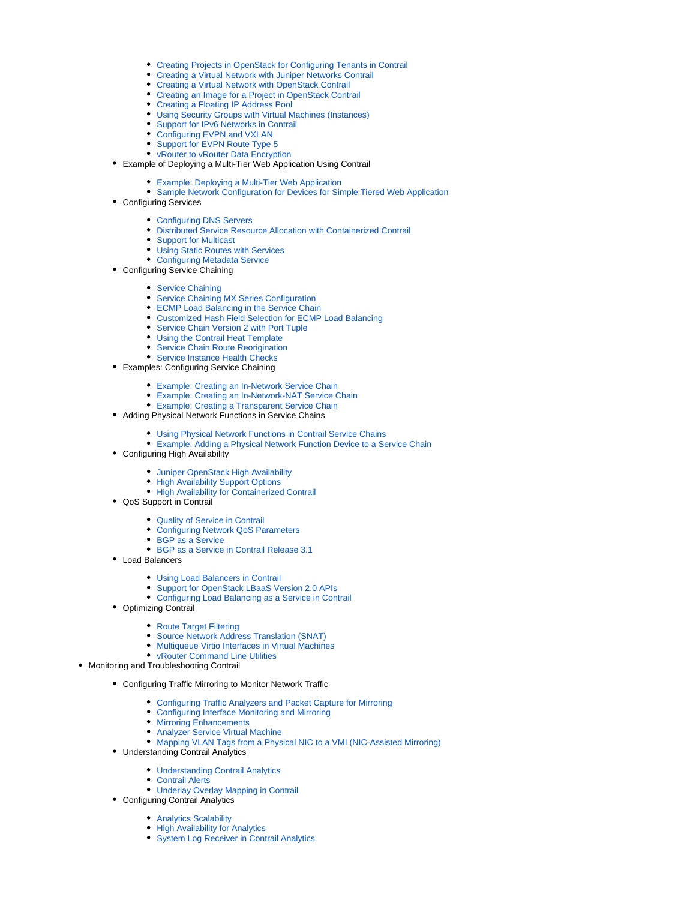- [Creating Projects in OpenStack for Configuring Tenants in Contrail](https://www.juniper.net/documentation/en_US/contrail5.0/topics/task/configuration/creating-projects-vnc.html)
- $\bullet$ [Creating a Virtual Network with Juniper Networks Contrail](https://www.juniper.net/documentation/en_US/contrail5.0/topics/task/configuration/creating-virtual-network-juniper-vnc.html)
- [Creating a Virtual Network with OpenStack Contrail](https://www.juniper.net/documentation/en_US/contrail5.0/topics/task/configuration/creating-virtual-network-vnc.html)
- [Creating an Image for a Project in OpenStack Contrail](https://www.juniper.net/documentation/en_US/contrail5.0/topics/task/configuration/creating-image-vnc.html)
- [Creating a Floating IP Address Pool](https://www.juniper.net/documentation/en_US/contrail5.0/topics/task/configuration/creating-ip-address-pool-vnc.html)
- [Using Security Groups with Virtual Machines \(Instances\)](https://www.juniper.net/documentation/en_US/contrail5.0/topics/task/configuration/creating-security-groups.html)
- **[Support for IPv6 Networks in Contrail](https://www.juniper.net/documentation/en_US/contrail5.0/topics/concept/ipv6-networks-vnc.html)**
- [Configuring EVPN and VXLAN](https://www.juniper.net/documentation/en_US/contrail5.0/topics/task/configuration/evpn-vxlan-configuring.html)
- [Support for EVPN Route Type 5](https://www.juniper.net/documentation/en_US/contrail5.0/topics/concept/contrail-evpn-route-type-5-ip-prefix-route.html)
- [vRouter to vRouter Data Encryption](https://www.juniper.net/documentation/en_US/contrail5.0/topics/concept/contrail-vrouter-to-vrouter-data-encryption.html)
- Example of Deploying a Multi-Tier Web Application Using Contrail
	- [Example: Deploying a Multi-Tier Web Application](https://www.juniper.net/documentation/en_US/contrail5.0/topics/task/configuration/web-use-case-vnc.html)
	- [Sample Network Configuration for Devices for Simple Tiered Web Application](https://www.juniper.net/documentation/en_US/contrail5.0/topics/reference/code-example-vnc.html)
- Configuring Services
	- [Configuring DNS Servers](https://www.juniper.net/documentation/en_US/contrail5.0/topics/task/configuration/configure-dns-vnc.html)
	- [Distributed Service Resource Allocation with Containerized Contrail](https://www.juniper.net/documentation/en_US/contrail5.0/topics/concept/distributed-service-resource-allocation.html)
	- [Support for Multicast](https://www.juniper.net/documentation/en_US/contrail5.0/topics/task/configuration/broadcast-vnc.html)
	- [Using Static Routes with Services](https://www.juniper.net/documentation/en_US/contrail5.0/topics/task/configuration/static-routes-for-services-vnc.html)
	- [Configuring Metadata Service](https://www.juniper.net/documentation/en_US/contrail5.0/topics/task/configuration/configure-metadata-service-vnc.html)
- Configuring Service Chaining
	- [Service Chaining](https://www.juniper.net/documentation/en_US/contrail5.0/topics/task/configuration/service-chaining-vnc.html)
	- **[Service Chaining MX Series Configuration](https://www.juniper.net/documentation/en_US/contrail5.0/topics/task/configuration/service-chaining-mx.html)**
	- [ECMP Load Balancing in the Service Chain](https://www.juniper.net/documentation/en_US/contrail5.0/topics/concept/load-balancing-vnc.html)
	- [Customized Hash Field Selection for ECMP Load Balancing](https://www.juniper.net/documentation/en_US/contrail5.0/topics/task/configuration/custom-field-hash-vnc.html)
	- **[Service Chain Version 2 with Port Tuple](https://www.juniper.net/documentation/en_US/contrail5.0/topics/concept/service-chain-port-tuple.html)**
	- [Using the Contrail Heat Template](https://www.juniper.net/documentation/en_US/contrail5.0/topics/task/configuration/heat-template-vnc.html)
	- **[Service Chain Route Reorigination](https://www.juniper.net/documentation/en_US/contrail5.0/topics/task/configuration/service-chain-route-reorig-vnc.html)**
	- **[Service Instance Health Checks](https://www.juniper.net/documentation/en_US/contrail5.0/topics/topic-map/service-instance-health-check.html)**
- Examples: Configuring Service Chaining
	- [Example: Creating an In-Network Service Chain](https://www.juniper.net/documentation/en_US/contrail5.0/topics/example/example-create-innetwork-service-chain.html)
	- [Example: Creating an In-Network-NAT Service Chain](https://www.juniper.net/documentation/en_US/contrail5.0/topics/example/example-create-innetwork-nat-service-chain.html)
	- [Example: Creating a Transparent Service Chain](https://www.juniper.net/documentation/en_US/contrail5.0/topics/example/example-create-transparent-service-chain.html)
- Adding Physical Network Functions in Service Chains
	- [Using Physical Network Functions in Contrail Service Chains](https://www.juniper.net/documentation/en_US/contrail5.0/topics/task/configuration/service-chaining-vnc-pnf.html)
	- [Example: Adding a Physical Network Function Device to a Service Chain](https://www.juniper.net/documentation/en_US/contrail5.0/topics/task/configuration/service-chaining-example-pnf.html)
- Configuring High Availability
	- **[Juniper OpenStack High Availability](https://www.juniper.net/documentation/en_US/contrail5.0/topics/task/configuration/juniper-high-availability-vnc-4.0.html)**
	- **[High Availability Support Options](https://www.juniper.net/documentation/en_US/contrail5.0/topics/concept/high-avail-support-4.0.html)**
	- [High Availability for Containerized Contrail](https://www.juniper.net/documentation/en_US/contrail5.0/topics/concept/container-contrail-HA.html)
- QoS Support in Contrail
	- [Quality of Service in Contrail](https://www.juniper.net/documentation/en_US/contrail5.0/topics/concept/network-qos-vnc-3.1.html)
	- [Configuring Network QoS Parameters](https://www.juniper.net/documentation/en_US/contrail5.0/topics/task/configuration/network-qos-configuring.html)
	- [BGP as a Service](https://www.juniper.net/documentation/en_US/contrail5.0/topics/concept/bgp-as-a-service-overview.html)  $\bullet$
	- [BGP as a Service in Contrail Release 3.1](https://www.juniper.net/documentation/en_US/contrail5.0/topics/concept/bgp-as-a-service-overview-3.1.html)
- Load Balancers
	- [Using Load Balancers in Contrail](https://www.juniper.net/documentation/en_US/contrail5.0/topics/task/configuration/lbaas-contrail3-F5.html)
	- [Support for OpenStack LBaaS Version 2.0 APIs](https://www.juniper.net/documentation/en_US/contrail5.0/topics/concept/lbaas-v2-vnc.html)
	- [Configuring Load Balancing as a Service in Contrail](https://www.juniper.net/documentation/en_US/contrail5.0/topics/task/configuration/load-balance-as-service-vnc.html)
- Optimizing Contrail
	- - [Route Target Filtering](https://www.juniper.net/documentation/en_US/contrail5.0/topics/task/configuration/route-target-filtering-vnc.html) [Source Network Address Translation \(SNAT\)](https://www.juniper.net/documentation/en_US/contrail5.0/topics/task/configuration/snat-vnc.html)
		-
		- [Multiqueue Virtio Interfaces in Virtual Machines](https://www.juniper.net/documentation/en_US/contrail5.0/topics/concept/multiqueue-virtio-vnc.html) [vRouter Command Line Utilities](https://www.juniper.net/documentation/en_US/contrail5.0/topics/task/configuration/vrouter-cli-utilities-vnc.html)
	-
- Monitoring and Troubleshooting Contrail
	- Configuring Traffic Mirroring to Monitor Network Traffic
		- [Configuring Traffic Analyzers and Packet Capture for Mirroring](https://www.juniper.net/documentation/en_US/contrail5.0/topics/task/configuration/configure-traffic-analyzer-vnc.html)
		- [Configuring Interface Monitoring and Mirroring](https://www.juniper.net/documentation/en_US/contrail5.0/topics/task/configuration/interface-monitor-mirror-vnc.html)
		- [Mirroring Enhancements](https://www.juniper.net/documentation/en_US/contrail5.0/topics/concept/mirroring-enhancements-vnc.html)
		- [Analyzer Service Virtual Machine](https://www.juniper.net/documentation/en_US/contrail5.0/topics/concept/analyzer-vm.html)
		- [Mapping VLAN Tags from a Physical NIC to a VMI \(NIC-Assisted Mirroring\)](https://www.juniper.net/documentation/en_US/contrail5.0/topics/concept/nic-assisted-mirroring.html)
	- Understanding Contrail Analytics
		- [Understanding Contrail Analytics](https://www.juniper.net/documentation/en_US/contrail5.0/topics/concept/analytics-overview-vnc.html)
		- [Contrail Alerts](https://www.juniper.net/documentation/en_US/contrail5.0/topics/concept/alerts-overview.html)
		- [Underlay Overlay Mapping in Contrail](https://www.juniper.net/documentation/en_US/contrail5.0/topics/task/configuration/underlay-overlay-mapping-vnc.html)
	- Configuring Contrail Analytics
		- [Analytics Scalability](https://www.juniper.net/documentation/en_US/contrail5.0/topics/concept/analytics-scalability-vnc.html)
		- **[High Availability for Analytics](https://www.juniper.net/documentation/en_US/contrail5.0/topics/task/operational/ha-analytics-vnc.html)**
		- [System Log Receiver in Contrail Analytics](https://www.juniper.net/documentation/en_US/contrail5.0/topics/task/configuration/syslog-receiver-vnc.html)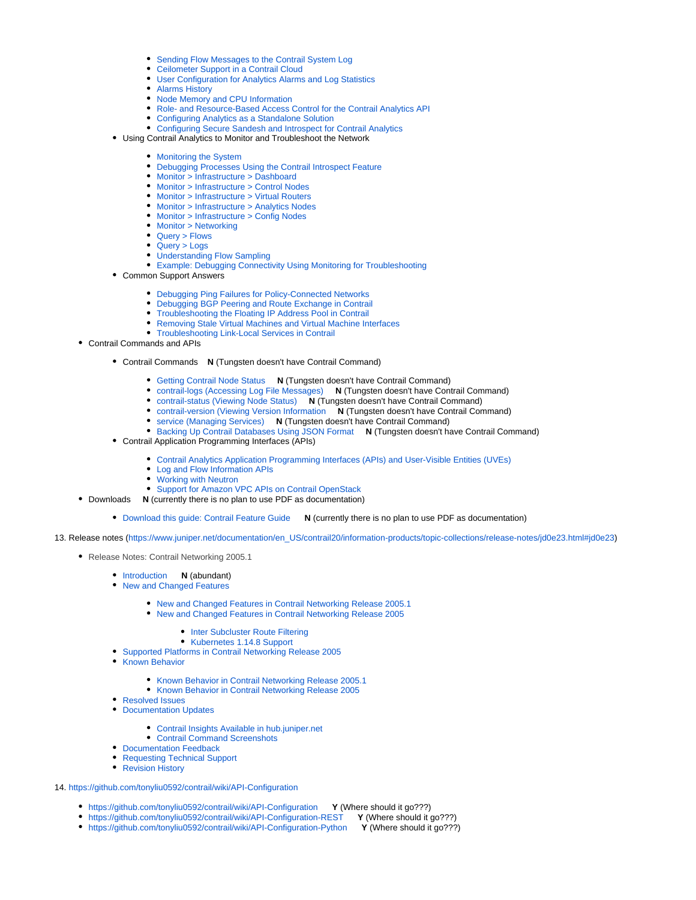- [Sending Flow Messages to the Contrail System Log](https://www.juniper.net/documentation/en_US/contrail5.0/topics/concept/send-flow-msg-syslog.html)
- [Ceilometer Support in a Contrail Cloud](https://www.juniper.net/documentation/en_US/contrail5.0/topics/task/configuration/ceilometer-configuring.html)
- [User Configuration for Analytics Alarms and Log Statistics](https://www.juniper.net/documentation/en_US/contrail5.0/topics/concept/analytics-user-alarms-log-statistics.html)
- [Alarms History](https://www.juniper.net/documentation/en_US/contrail5.0/topics/concept/alarms-history.html)
- [Node Memory and CPU Information](https://www.juniper.net/documentation/en_US/contrail5.0/topics/task/operational/analytics-node-memory-cpu-info.html)
- [Role- and Resource-Based Access Control for the Contrail Analytics API](https://www.juniper.net/documentation/en_US/contrail5.0/topics/task/configuration/analytics-role-resource-access-control.html)
- [Configuring Analytics as a Standalone Solution](https://www.juniper.net/documentation/en_US/contrail5.0/topics/concept/analytics-standalone-40-vnc.html)
- [Configuring Secure Sandesh and Introspect for Contrail Analytics](https://www.juniper.net/documentation/en_US/contrail5.0/topics/concept/analytics-secure-sandesh-40-vnc.html)
- Using Contrail Analytics to Monitor and Troubleshoot the Network
	- [Monitoring the System](https://www.juniper.net/documentation/en_US/contrail5.0/topics/concept/monitor-vnc.html)
	- [Debugging Processes Using the Contrail Introspect Feature](https://www.juniper.net/documentation/en_US/contrail5.0/topics/task/configuration/introspect-process-debugging.html)
	- [Monitor > Infrastructure > Dashboard](https://www.juniper.net/documentation/en_US/contrail5.0/topics/task/configuration/monitor-dashboard-vnc.html)
	- [Monitor > Infrastructure > Control Nodes](https://www.juniper.net/documentation/en_US/contrail5.0/topics/task/configuration/monitoring-infrastructure-vnc.html)
	- **[Monitor > Infrastructure > Virtual Routers](https://www.juniper.net/documentation/en_US/contrail5.0/topics/task/configuration/monitoring-vrouters-vnc.html)**
	- [Monitor > Infrastructure > Analytics Nodes](https://www.juniper.net/documentation/en_US/contrail5.0/topics/task/configuration/monitor-analytics-vnc.html)
	- [Monitor > Infrastructure > Config Nodes](https://www.juniper.net/documentation/en_US/contrail5.0/topics/task/configuration/monitor-config-vnc.html) • [Monitor > Networking](https://www.juniper.net/documentation/en_US/contrail5.0/topics/task/configuration/monitoring-networking-vnc.html)
	- [Query > Flows](https://www.juniper.net/documentation/en_US/contrail5.0/topics/task/configuration/monitoring-flow-vnc.html)
	- [Query > Logs](https://www.juniper.net/documentation/en_US/contrail5.0/topics/task/configuration/monitoring-syslog-vnc.html)
	- [Understanding Flow Sampling](https://www.juniper.net/documentation/en_US/contrail5.0/topics/concept/flow-sample-overview.html)
	- [Example: Debugging Connectivity Using Monitoring for Troubleshooting](https://www.juniper.net/documentation/en_US/contrail5.0/topics/task/troubleshooting/debug-connectivity-vnc.html)
- Common Support Answers
	- [Debugging Ping Failures for Policy-Connected Networks](https://www.juniper.net/documentation/en_US/contrail5.0/topics/task/troubleshooting/debug-ping-failure-vnc.html)
	- [Debugging BGP Peering and Route Exchange in Contrail](https://www.juniper.net/documentation/en_US/contrail5.0/topics/task/troubleshooting/debug-bgp-peering-vnc.html)
	- [Troubleshooting the Floating IP Address Pool in Contrail](https://www.juniper.net/documentation/en_US/contrail5.0/topics/task/troubleshooting/tshoot-floating-ip-vnc.html)
	- [Removing Stale Virtual Machines and Virtual Machine Interfaces](https://www.juniper.net/documentation/en_US/contrail5.0/topics/task/troubleshooting/remove-stale-vms-vnc.html)
	- [Troubleshooting Link-Local Services in Contrail](https://www.juniper.net/documentation/en_US/contrail5.0/topics/task/troubleshooting/tshoot-link-local-vnc.html)
- Contrail Commands and APIs
	- Contrail Commands **N** (Tungsten doesn't have Contrail Command)
		- [Getting Contrail Node Status](https://www.juniper.net/documentation/en_US/contrail5.0/topics/task/configuration/node-status-vnc.html) **N** (Tungsten doesn't have Contrail Command)
		- [contrail-logs \(Accessing Log File Messages\)](https://www.juniper.net/documentation/en_US/contrail5.0/topics/concept/contrail-logs-vnc.html) **N** (Tungsten doesn't have Contrail Command)
		- [contrail-status \(Viewing Node Status\)](https://www.juniper.net/documentation/en_US/contrail5.0/topics/reference/contrail-status.html) **N** (Tungsten doesn't have Contrail Command)
		- [contrail-version \(Viewing Version Information](https://www.juniper.net/documentation/en_US/contrail5.0/topics/reference/contrail-version.html) **N** (Tungsten doesn't have Contrail Command)
		- [service \(Managing Services\)](https://www.juniper.net/documentation/en_US/contrail5.0/topics/reference/contrail-service.html) **N** (Tungsten doesn't have Contrail Command)
		- [Backing Up Contrail Databases Using JSON Format](https://www.juniper.net/documentation/en_US/contrail5.0/topics/concept/backup-using-json-40.html) **N** (Tungsten doesn't have Contrail Command)
	- Contrail Application Programming Interfaces (APIs)
		- [Contrail Analytics Application Programming Interfaces \(APIs\) and User-Visible Entities \(UVEs\)](https://www.juniper.net/documentation/en_US/contrail5.0/topics/task/configuration/analytics-apis-vnc.html)
		- [Log and Flow Information APIs](https://www.juniper.net/documentation/en_US/contrail5.0/topics/task/configuration/analytics-apis-log-flow-vnc.html)
		- [Working with Neutron](https://www.juniper.net/documentation/en_US/contrail5.0/topics/task/configuration/neutron-perform-improve-vnc.html)
		- [Support for Amazon VPC APIs on Contrail OpenStack](https://www.juniper.net/documentation/en_US/contrail5.0/topics/task/configuration/using-vpc-vpis-vnc.html)
- Downloads **N** (currently there is no plan to use PDF as documentation)
	- [Download this guide: Contrail Feature Guide](https://www.juniper.net/documentation/en_US/contrail5.0/information-products/pathway-pages/contrail-feature-guide-pwp.pdf) **N** (currently there is no plan to use PDF as documentation)
- 13. Release notes [\(https://www.juniper.net/documentation/en\\_US/contrail20/information-products/topic-collections/release-notes/jd0e23.html#jd0e23\)](https://www.juniper.net/documentation/en_US/contrail20/information-products/topic-collections/release-notes/jd0e23.html#jd0e23)
	- [Release Notes: Contrail Networking 2005.1](https://www.juniper.net/documentation/en_US/contrail20/information-products/topic-collections/release-notes/index.html#contrail-release-notes-2005-title)
		- [Introduction](https://www.juniper.net/documentation/en_US/contrail20/information-products/topic-collections/release-notes/jd0e23.html#jd0e23) **N** (abundant)
		- [New and Changed Features](https://www.juniper.net/documentation/en_US/contrail20/information-products/topic-collections/release-notes/topic-147574.html#jd0e37)
			- [New and Changed Features in Contrail Networking Release 2005.1](https://www.juniper.net/documentation/en_US/contrail20/information-products/topic-collections/release-notes/topic-147574.html#jd0e49)
			- [New and Changed Features in Contrail Networking Release 2005](https://www.juniper.net/documentation/en_US/contrail20/information-products/topic-collections/release-notes/topic-147574.html#jd0e54)
				- [Inter Subcluster Route Filtering](https://www.juniper.net/documentation/en_US/contrail20/information-products/topic-collections/release-notes/topic-147574.html#jd0e59)
			- [Kubernetes 1.14.8 Support](https://www.juniper.net/documentation/en_US/contrail20/information-products/topic-collections/release-notes/topic-147574.html#jd0e92)
		- **[Supported Platforms in Contrail Networking Release 2005](https://www.juniper.net/documentation/en_US/contrail20/information-products/topic-collections/release-notes/topic-147353.html#jd0e302)**
		- **[Known Behavior](https://www.juniper.net/documentation/en_US/contrail20/information-products/topic-collections/release-notes/jd0e683.html#jd0e683)** 
			- [Known Behavior in Contrail Networking Release 2005.1](https://www.juniper.net/documentation/en_US/contrail20/information-products/topic-collections/release-notes/jd0e683.html#jd0e691)
			- **[Known Behavior in Contrail Networking Release 2005](https://www.juniper.net/documentation/en_US/contrail20/information-products/topic-collections/release-notes/jd0e683.html#jd0e809)**
		- [Resolved Issues](https://www.juniper.net/documentation/en_US/contrail20/information-products/topic-collections/release-notes/jd0e927.html#jd0e927)
		- [Documentation Updates](https://www.juniper.net/documentation/en_US/contrail20/information-products/topic-collections/release-notes/jd0e941.html#jd0e941)
			- [Contrail Insights Available in hub.juniper.net](https://www.juniper.net/documentation/en_US/contrail20/information-products/topic-collections/release-notes/jd0e941.html#jd0e947)
			- [Contrail Command Screenshots](https://www.juniper.net/documentation/en_US/contrail20/information-products/topic-collections/release-notes/jd0e941.html#jd0e958)
		- [Documentation Feedback](https://www.juniper.net/documentation/en_US/contrail20/information-products/topic-collections/release-notes/document-feedback.html#document-feedback)
		- [Requesting Technical Support](https://www.juniper.net/documentation/en_US/contrail20/information-products/topic-collections/release-notes/request-support.html#request-support)
		- [Revision History](https://www.juniper.net/documentation/en_US/contrail20/information-products/topic-collections/release-notes/request-support.html#jd0e1114)
- 14. <https://github.com/tonyliu0592/contrail/wiki/API-Configuration>
	- <https://github.com/tonyliu0592/contrail/wiki/API-Configuration> **Y** (Where should it go???)
		- <https://github.com/tonyliu0592/contrail/wiki/API-Configuration-REST> **Y** (Where should it go???)
	- <https://github.com/tonyliu0592/contrail/wiki/API-Configuration-Python> **Y** (Where should it go???)